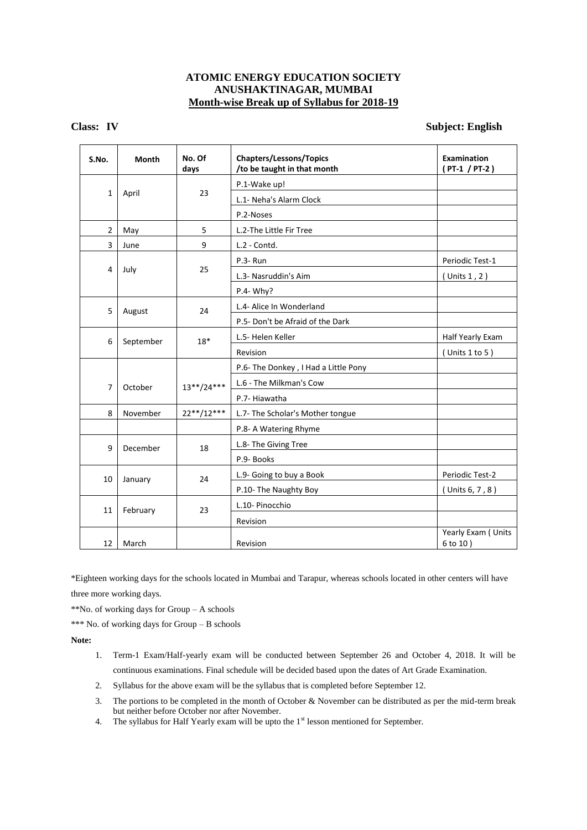### **ATOMIC ENERGY EDUCATION SOCIETY ANUSHAKTINAGAR, MUMBAI Month-wise Break up of Syllabus for 2018-19**

### **Class: IV Subject: English**

| S.No. | <b>Month</b> | No. Of<br>days | <b>Chapters/Lessons/Topics</b><br>/to be taught in that month | Examination<br>(PT-1 / PT-2)   |                 |
|-------|--------------|----------------|---------------------------------------------------------------|--------------------------------|-----------------|
|       |              |                | P.1-Wake up!                                                  |                                |                 |
| 1     | April        | 23             | L.1- Neha's Alarm Clock                                       |                                |                 |
|       |              |                | P.2-Noses                                                     |                                |                 |
| 2     | May          | 5              | L.2-The Little Fir Tree                                       |                                |                 |
| 3     | June         | 9              | L.2 - Contd.                                                  |                                |                 |
|       | July         | 25             | P.3-Run                                                       | Periodic Test-1                |                 |
| 4     |              |                | L.3- Nasruddin's Aim                                          | (Units 1, 2)                   |                 |
|       |              |                | $P.4 - Why?$                                                  |                                |                 |
| 5     | August       | 24             | L.4- Alice In Wonderland                                      |                                |                 |
|       |              |                | P.5- Don't be Afraid of the Dark                              |                                |                 |
| 6     | September    | $18*$          | L.5- Helen Keller                                             | Half Yearly Exam               |                 |
|       |              |                | Revision                                                      | $($ Units 1 to 5)              |                 |
|       |              |                | P.6- The Donkey, I Had a Little Pony                          |                                |                 |
| 7     | October      | $13***/24***$  | L.6 - The Milkman's Cow                                       |                                |                 |
|       |              |                | P.7- Hiawatha                                                 |                                |                 |
| 8     | November     | $22**/12***$   | L.7- The Scholar's Mother tongue                              |                                |                 |
|       |              |                | P.8- A Watering Rhyme                                         |                                |                 |
| 9     | December     | 18             | L.8- The Giving Tree                                          |                                |                 |
|       |              |                | P.9- Books                                                    |                                |                 |
| 10    | January      |                | 24                                                            | L.9- Going to buy a Book       | Periodic Test-2 |
|       |              |                | P.10- The Naughty Boy                                         | (Units 6, 7, 8)                |                 |
| 11    | February     | 23             | L.10- Pinocchio                                               |                                |                 |
|       |              |                | Revision                                                      |                                |                 |
| 12    | March        |                | Revision                                                      | Yearly Exam (Units<br>6 to 10) |                 |

\*Eighteen working days for the schools located in Mumbai and Tarapur, whereas schools located in other centers will have three more working days.

\*\*No. of working days for Group – A schools

\*\*\* No. of working days for Group – B schools

- 1. Term-1 Exam/Half-yearly exam will be conducted between September 26 and October 4, 2018. It will be continuous examinations. Final schedule will be decided based upon the dates of Art Grade Examination.
- 2. Syllabus for the above exam will be the syllabus that is completed before September 12.
- 3. The portions to be completed in the month of October & November can be distributed as per the mid-term break but neither before October nor after November.
- 4. The syllabus for Half Yearly exam will be upto the  $1<sup>st</sup>$  lesson mentioned for September.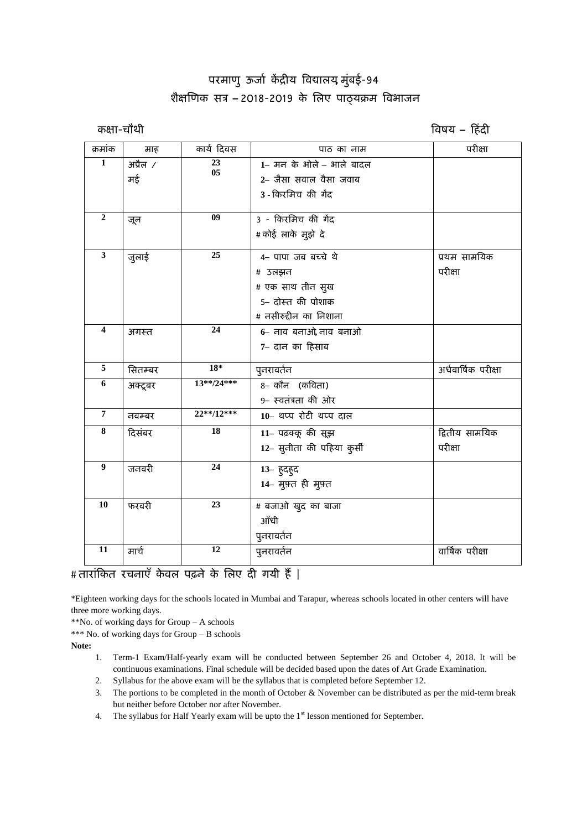# **ऩयभाणु ऊर्ाा कें द्रीम विद्यारम, भुुंफई-94 शैऺणणक सत्र – 2018-2019 के लरए ऩाठ्मक्रभ विबार्न**

**कऺा-चौथी विषम – हहुंदी** 

| क्रमांक                 | माह            | कार्य दिवस      | पाठ का नाम                 | परीक्षा             |
|-------------------------|----------------|-----------------|----------------------------|---------------------|
| $\mathbf{1}$            | $3\vec{u}$ ल / | 23              | 1- मन के भोले - भाले बादल  |                     |
|                         | मई             | 05              | 2– जैसा सवाल वैसा जवाब     |                     |
|                         |                |                 | 3 - किरमिच की गेंद         |                     |
|                         |                |                 |                            |                     |
| $\overline{2}$          | जून            | 09              | 3 - किरमिच की गेंद         |                     |
|                         |                |                 | # कोई लाके मुझे दे         |                     |
| 3                       | जुलाई          | 25              | 4- पापा जब बच्चे थे        | प्रथम सामयिक        |
|                         |                |                 | # उलझन                     | परीक्षा             |
|                         |                |                 | # एक साथ तीन सुख           |                     |
|                         |                |                 | 5– दोस्त की पोशाक          |                     |
|                         |                |                 | # नसीरुद्दीन का निशाना     |                     |
| $\overline{\mathbf{4}}$ | अगस्त          | $\overline{24}$ | 6- नाव बनाओ, नाव बनाओ      |                     |
|                         |                |                 | 7– दान का हिसाब            |                     |
| 5                       |                | $18*$           |                            | अर्धवार्षिक परीक्षा |
| 6                       | सितम्बर        | 13**/24***      | पुनरावर्तन                 |                     |
|                         | अक्टूबर        |                 | 8– कौन (कविता)             |                     |
|                         |                |                 | 9- स्वतंत्रता की ओर        |                     |
| $\overline{7}$          | नवम्बर         | 22**/12***      | 10-थप्प रोटी थप्प दाल      |                     |
| 8                       | दिसंबर         | 18              | 11- पढ़क्कू की सूझ         | द्वितीय सामयिक      |
|                         |                |                 | 12- सुनीता की पहिया कुर्सी | परीक्षा             |
| $\boldsymbol{9}$        | जनवरी          | 24              | 13- हुदहुद                 |                     |
|                         |                |                 | 14- मुफ़्त ही मुफ़्त       |                     |
| 10                      | फरवरी          | $\overline{23}$ | # बजाओ खुद का बाजा         |                     |
|                         |                |                 | ऑधी                        |                     |
|                         |                |                 |                            |                     |
| 11                      |                | 12              | पुनरावर्तन                 |                     |
|                         | मार्च          |                 | पुनरावर्तन                 | वार्षिक परीक्षा     |

## # तारांकित रचनाएँ केवल पढ़ने के लिए दी गयी हैं |

\*Eighteen working days for the schools located in Mumbai and Tarapur, whereas schools located in other centers will have three more working days.

\*\*No. of working days for Group – A schools

\*\*\* No. of working days for Group – B schools

- 1. Term-1 Exam/Half-yearly exam will be conducted between September 26 and October 4, 2018. It will be continuous examinations. Final schedule will be decided based upon the dates of Art Grade Examination.
- 2. Syllabus for the above exam will be the syllabus that is completed before September 12.
- 3. The portions to be completed in the month of October & November can be distributed as per the mid-term break but neither before October nor after November.
- 4. The syllabus for Half Yearly exam will be upto the  $1<sup>st</sup>$  lesson mentioned for September.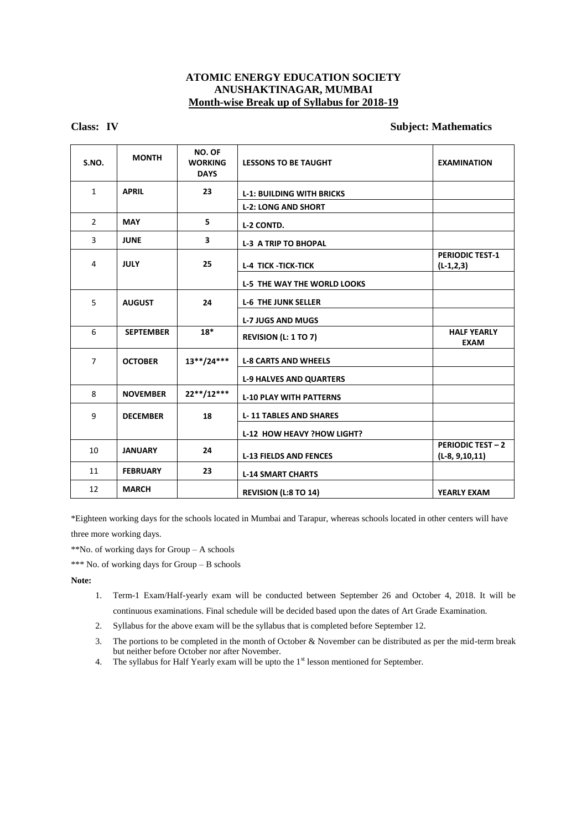### **ATOMIC ENERGY EDUCATION SOCIETY ANUSHAKTINAGAR, MUMBAI Month-wise Break up of Syllabus for 2018-19**

### **Class: IV Subject: Mathematics**

| S.NO.          | <b>MONTH</b>     | NO. OF<br><b>WORKING</b><br><b>DAYS</b> | <b>LESSONS TO BE TAUGHT</b>        | <b>EXAMINATION</b>                             |
|----------------|------------------|-----------------------------------------|------------------------------------|------------------------------------------------|
| $\mathbf{1}$   | <b>APRIL</b>     | 23                                      | <b>L-1: BUILDING WITH BRICKS</b>   |                                                |
|                |                  |                                         | <b>L-2: LONG AND SHORT</b>         |                                                |
| $\overline{2}$ | <b>MAY</b>       | 5                                       | <b>L-2 CONTD.</b>                  |                                                |
| 3              | <b>JUNE</b>      | 3                                       | <b>L-3 A TRIP TO BHOPAL</b>        |                                                |
| 4              | <b>JULY</b>      | 25                                      | <b>L-4 TICK-TICK-TICK</b>          | <b>PERIODIC TEST-1</b><br>$(L-1,2,3)$          |
|                |                  |                                         | <b>L-5 THE WAY THE WORLD LOOKS</b> |                                                |
| 5              | <b>AUGUST</b>    | 24                                      | <b>L-6 THE JUNK SELLER</b>         |                                                |
|                |                  |                                         | <b>L-7 JUGS AND MUGS</b>           |                                                |
| 6              | <b>SEPTEMBER</b> | $18*$                                   | <b>REVISION (L: 1 TO 7)</b>        | <b>HALF YEARLY</b><br><b>EXAM</b>              |
| $\overline{7}$ | <b>OCTOBER</b>   | $13**/24***$                            | <b>L-8 CARTS AND WHEELS</b>        |                                                |
|                |                  |                                         | <b>L-9 HALVES AND QUARTERS</b>     |                                                |
| 8              | <b>NOVEMBER</b>  | 22**/12***                              | <b>L-10 PLAY WITH PATTERNS</b>     |                                                |
| 9              | <b>DECEMBER</b>  | 18                                      | <b>L-11 TABLES AND SHARES</b>      |                                                |
|                |                  |                                         | L-12 HOW HEAVY ?HOW LIGHT?         |                                                |
| 10             | <b>JANUARY</b>   | 24                                      | <b>L-13 FIELDS AND FENCES</b>      | <b>PERIODIC TEST - 2</b><br>$(L-8, 9, 10, 11)$ |
| 11             | <b>FEBRUARY</b>  | 23                                      | <b>L-14 SMART CHARTS</b>           |                                                |
| 12             | <b>MARCH</b>     |                                         | <b>REVISION (L:8 TO 14)</b>        | <b>YEARLY EXAM</b>                             |

\*Eighteen working days for the schools located in Mumbai and Tarapur, whereas schools located in other centers will have three more working days.

\*\*No. of working days for Group – A schools

\*\*\* No. of working days for Group – B schools

- 1. Term-1 Exam/Half-yearly exam will be conducted between September 26 and October 4, 2018. It will be continuous examinations. Final schedule will be decided based upon the dates of Art Grade Examination.
- 2. Syllabus for the above exam will be the syllabus that is completed before September 12.
- 3. The portions to be completed in the month of October & November can be distributed as per the mid-term break but neither before October nor after November.
- 4. The syllabus for Half Yearly exam will be upto the  $1<sup>st</sup>$  lesson mentioned for September.